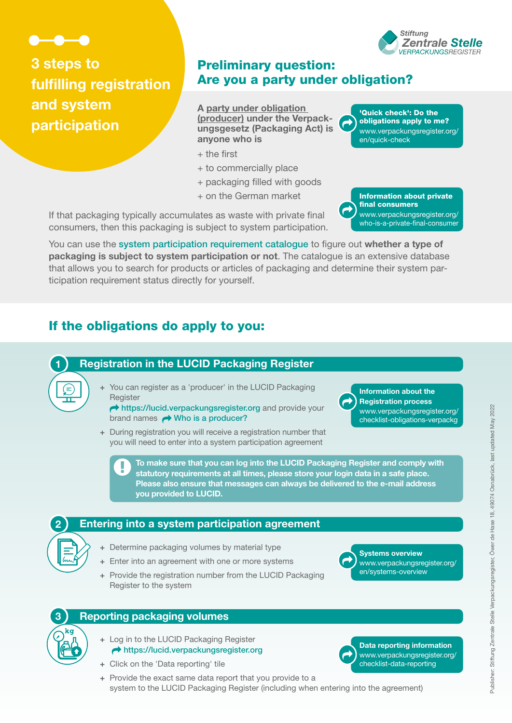

 $(\equiv)$ 

**3 steps to fulfilling registration and system participation**

## Preliminary question: Are you a party under obligation?

 $\vec{\phantom{a}}$ 

**A party under obligation (producer) under the Verpackungsgesetz (Packaging Act) is anyone who is**

- + the first
- + to commercially place
- + packaging filled with goods
- + on the German market

If that packaging typically accumulates as waste with private final consumers, then this packaging is subject to system participation.

You can use the [system participation requirement catalogue](https://www.verpackungsregister.org/en/catalogue-search) to figure out **whether a type of packaging is subject to system participation or not**. The catalogue is an extensive database that allows you to search for products or articles of packaging and determine their system participation requirement status directly for yourself.

# If the obligations do apply to you:

## **1 Registration in the LUCID Packaging Register**

**+** You can register as a 'producer' in the LUCID Packaging **Register** 

 <https://lucid.verpackungsregister.org> and provide your brand names  $\rightarrow$  [Who is a producer?](https://www.verpackungsregister.org/fileadmin/files/Themenpaketseiten/Graphic_About_the_term_producer.pdf)

**+** During registration you will receive a registration number that you will need to enter into a system participation agreement

> **To make sure that you can log into the LUCID Packaging Register and comply with statutory requirements at all times, please store your login data in a safe place. Please also ensure that messages can always be delivered to the e-mail address you provided to LUCID.**

#### **2 Entering into a system participation agreement**

- **+** Determine packaging volumes by material type
- **+** Enter into an agreement with one or more systems
- **+** Provide the registration number from the LUCID Packaging Register to the system

#### **3 Reporting packaging volumes**

- **+** Log in to the LUCID Packaging Register <https://lucid.verpackungsregister.org>
- **+** Click on the 'Data reporting' tile
- **+** Provide the exact same data report that you provide to a system to the LUCID Packaging Register (including when entering into the agreement)

'Quick check': Do the obligations apply to me? [www.verpackungsregister.org/](https://www.verpackungsregister.org/en/quick-check) [en/quick-check](https://www.verpackungsregister.org/en/quick-check)

Information about private final consumers [www.verpackungsregister.org/](https://www.verpackungsregister.org/who-is-a-private-final-consumer) [who-is-a-private-final-consumer](https://www.verpackungsregister.org/who-is-a-private-final-consumer)  $\vec{\phantom{a}}$ 





 $\vec{\phantom{a}}$ 

**Systems overview** [www.verpackungsregister.org/](https://www.verpackungsregister.org/en/systems-overview) [en/systems-overview](https://www.verpackungsregister.org/en/systems-overview)

**Data reporting information** [www.verpackungsregister.org/](https://www.verpackungsregister.org/checklist-data-reporting) [checklist-data-reporting](https://www.verpackungsregister.org/checklist-data-reporting)